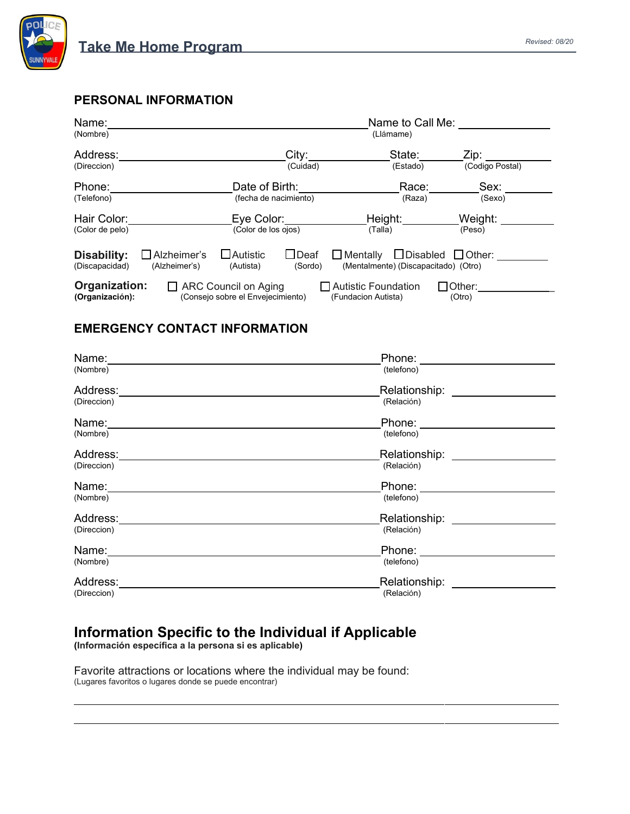

*Revised: 08/20* **Take Me Home Program**

## **PERSONAL INFORMATION**

| Name:                                                                                                                                                                                                                    | Name to Call Me:      |          |                 |
|--------------------------------------------------------------------------------------------------------------------------------------------------------------------------------------------------------------------------|-----------------------|----------|-----------------|
| (Nombre)                                                                                                                                                                                                                 | (Llámame)             |          |                 |
| Address:                                                                                                                                                                                                                 | City:                 | State:   | Zip:            |
| (Direccion)                                                                                                                                                                                                              | (Cuidad)              | (Estado) | (Codigo Postal) |
| Phone:                                                                                                                                                                                                                   | Date of Birth:        | Race:    | Sex:            |
| (Telefono)                                                                                                                                                                                                               | (fecha de nacimiento) | (Raza)   | (Sexo)          |
| Hair Color:                                                                                                                                                                                                              | Eye Color:            | Height:  | Weight:         |
| (Color de pelo)                                                                                                                                                                                                          | (Color de los ojos)   | (Talla)  | (Peso)          |
| $\Box$ Autistic<br>$\Box$ Disabled $\Box$ Other:<br>$\bigsqcup$ Deaf<br>Disability:<br>Alzheimer's<br>$\Box$ Mentally<br>(Mentalmente) (Discapacitado) (Otro)<br>(Alzheimer's)<br>(Discapacidad)<br>(Autista)<br>(Sordo) |                       |          |                 |
| Organization:<br>ARC Council on Aging<br><b>Autistic Foundation</b><br>$\Box$ Other:<br>(Consejo sobre el Envejecimiento)<br>(Organización):<br>(Fundacion Autista)<br>(Otro)                                            |                       |          |                 |

## **EMERGENCY CONTACT INFORMATION**

| Name:       | Phone:        |
|-------------|---------------|
| (Nombre)    | (telefono)    |
| Address:    | Relationship: |
| (Direccion) | (Relación)    |
| Name:       | Phone:        |
| (Nombre)    | (telefono)    |
| Address:    | Relationship: |
| (Direccion) | (Relación)    |
| Name:       | Phone:        |
| (Nombre)    | (telefono)    |
| Address:    | Relationship: |
| (Direccion) | (Relación)    |
| Name:       | Phone:        |
| (Nombre)    | (telefono)    |
| Address:    | Relationship: |
| (Direccion) | (Relación)    |

## **Information Specific to the Individual if Applicable**

**(Información específica a la persona si es aplicable)**

Favorite attractions or locations where the individual may be found: (Lugares favoritos o lugares donde se puede encontrar)